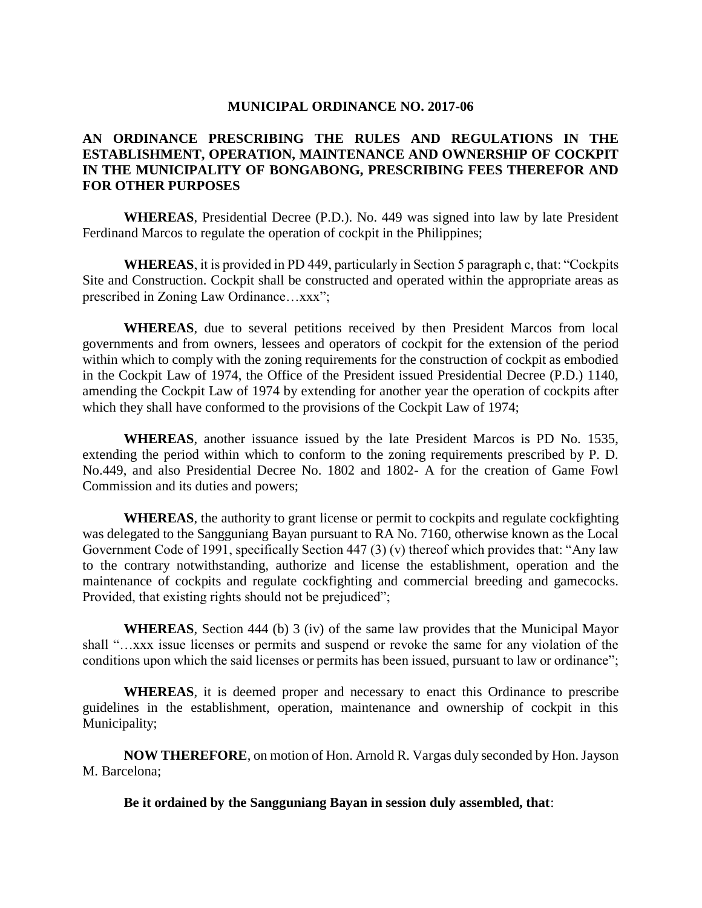### **MUNICIPAL ORDINANCE NO. 2017-06**

## **AN ORDINANCE PRESCRIBING THE RULES AND REGULATIONS IN THE ESTABLISHMENT, OPERATION, MAINTENANCE AND OWNERSHIP OF COCKPIT IN THE MUNICIPALITY OF BONGABONG, PRESCRIBING FEES THEREFOR AND FOR OTHER PURPOSES**

**WHEREAS**, Presidential Decree (P.D.). No. 449 was signed into law by late President Ferdinand Marcos to regulate the operation of cockpit in the Philippines;

**WHEREAS**, it is provided in PD 449, particularly in Section 5 paragraph c, that: "Cockpits Site and Construction. Cockpit shall be constructed and operated within the appropriate areas as prescribed in Zoning Law Ordinance…xxx";

**WHEREAS**, due to several petitions received by then President Marcos from local governments and from owners, lessees and operators of cockpit for the extension of the period within which to comply with the zoning requirements for the construction of cockpit as embodied in the Cockpit Law of 1974, the Office of the President issued Presidential Decree (P.D.) 1140, amending the Cockpit Law of 1974 by extending for another year the operation of cockpits after which they shall have conformed to the provisions of the Cockpit Law of 1974;

**WHEREAS**, another issuance issued by the late President Marcos is PD No. 1535, extending the period within which to conform to the zoning requirements prescribed by P. D. No.449, and also Presidential Decree No. 1802 and 1802- A for the creation of Game Fowl Commission and its duties and powers;

**WHEREAS**, the authority to grant license or permit to cockpits and regulate cockfighting was delegated to the Sangguniang Bayan pursuant to RA No. 7160, otherwise known as the Local Government Code of 1991, specifically Section 447 (3) (v) thereof which provides that: "Any law to the contrary notwithstanding, authorize and license the establishment, operation and the maintenance of cockpits and regulate cockfighting and commercial breeding and gamecocks. Provided, that existing rights should not be prejudiced";

**WHEREAS**, Section 444 (b) 3 (iv) of the same law provides that the Municipal Mayor shall "…xxx issue licenses or permits and suspend or revoke the same for any violation of the conditions upon which the said licenses or permits has been issued, pursuant to law or ordinance";

**WHEREAS**, it is deemed proper and necessary to enact this Ordinance to prescribe guidelines in the establishment, operation, maintenance and ownership of cockpit in this Municipality;

**NOW THEREFORE**, on motion of Hon. Arnold R. Vargas duly seconded by Hon. Jayson M. Barcelona;

**Be it ordained by the Sangguniang Bayan in session duly assembled, that**: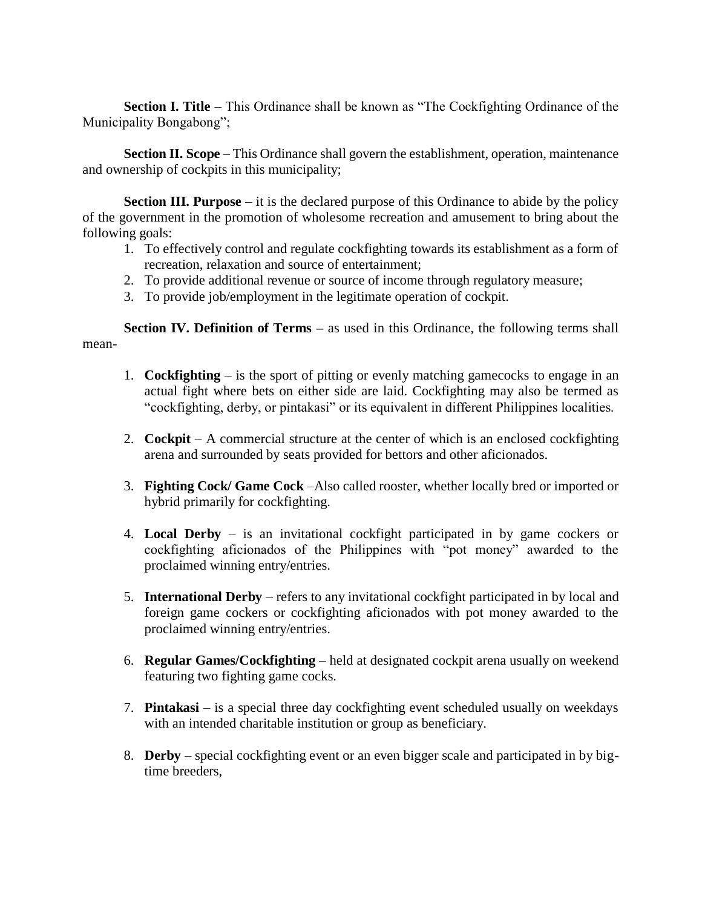**Section I. Title** – This Ordinance shall be known as "The Cockfighting Ordinance of the Municipality Bongabong";

**Section II. Scope** – This Ordinance shall govern the establishment, operation, maintenance and ownership of cockpits in this municipality;

**Section III. Purpose** – it is the declared purpose of this Ordinance to abide by the policy of the government in the promotion of wholesome recreation and amusement to bring about the following goals:

- 1. To effectively control and regulate cockfighting towards its establishment as a form of recreation, relaxation and source of entertainment;
- 2. To provide additional revenue or source of income through regulatory measure;
- 3. To provide job/employment in the legitimate operation of cockpit.

**Section IV. Definition of Terms – as used in this Ordinance, the following terms shall** mean-

- 1. **Cockfighting** is the sport of pitting or evenly matching gamecocks to engage in an actual fight where bets on either side are laid. Cockfighting may also be termed as "cockfighting, derby, or pintakasi" or its equivalent in different Philippines localities.
- 2. **Cockpit** A commercial structure at the center of which is an enclosed cockfighting arena and surrounded by seats provided for bettors and other aficionados.
- 3. **Fighting Cock/ Game Cock** –Also called rooster, whether locally bred or imported or hybrid primarily for cockfighting.
- 4. **Local Derby** is an invitational cockfight participated in by game cockers or cockfighting aficionados of the Philippines with "pot money" awarded to the proclaimed winning entry/entries.
- 5. **International Derby** refers to any invitational cockfight participated in by local and foreign game cockers or cockfighting aficionados with pot money awarded to the proclaimed winning entry/entries.
- 6. **Regular Games/Cockfighting** held at designated cockpit arena usually on weekend featuring two fighting game cocks.
- 7. **Pintakasi** is a special three day cockfighting event scheduled usually on weekdays with an intended charitable institution or group as beneficiary.
- 8. **Derby** special cockfighting event or an even bigger scale and participated in by bigtime breeders,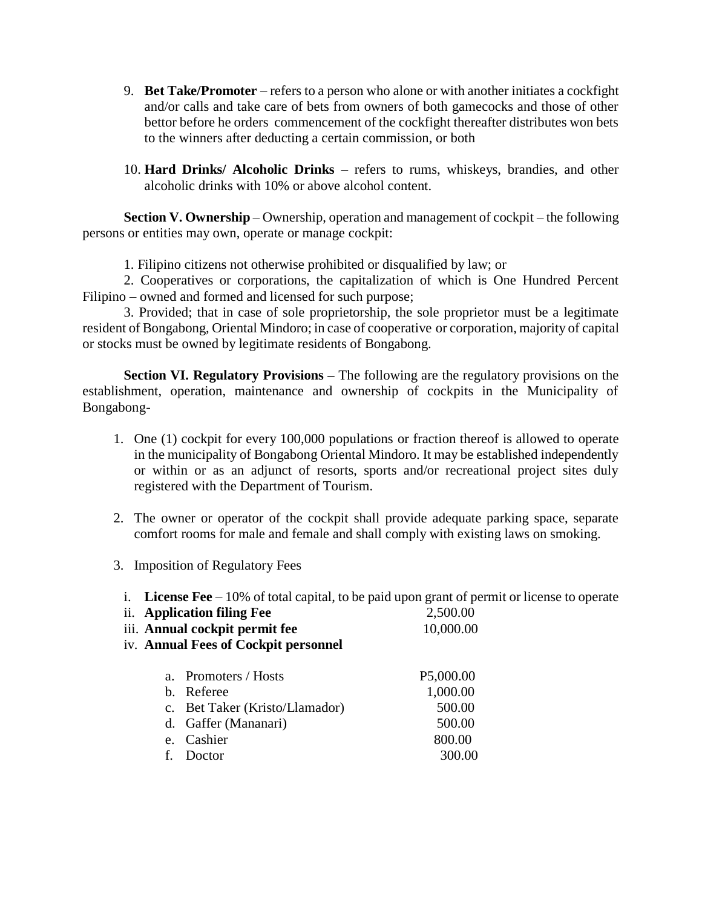- 9. **Bet Take/Promoter** refers to a person who alone or with another initiates a cockfight and/or calls and take care of bets from owners of both gamecocks and those of other bettor before he orders commencement of the cockfight thereafter distributes won bets to the winners after deducting a certain commission, or both
- 10. **Hard Drinks/ Alcoholic Drinks** refers to rums, whiskeys, brandies, and other alcoholic drinks with 10% or above alcohol content.

**Section V. Ownership** – Ownership, operation and management of cockpit – the following persons or entities may own, operate or manage cockpit:

1. Filipino citizens not otherwise prohibited or disqualified by law; or

2. Cooperatives or corporations, the capitalization of which is One Hundred Percent Filipino – owned and formed and licensed for such purpose;

3. Provided; that in case of sole proprietorship, the sole proprietor must be a legitimate resident of Bongabong, Oriental Mindoro; in case of cooperative or corporation, majority of capital or stocks must be owned by legitimate residents of Bongabong.

**Section VI. Regulatory Provisions –** The following are the regulatory provisions on the establishment, operation, maintenance and ownership of cockpits in the Municipality of Bongabong-

- 1. One (1) cockpit for every 100,000 populations or fraction thereof is allowed to operate in the municipality of Bongabong Oriental Mindoro. It may be established independently or within or as an adjunct of resorts, sports and/or recreational project sites duly registered with the Department of Tourism.
- 2. The owner or operator of the cockpit shall provide adequate parking space, separate comfort rooms for male and female and shall comply with existing laws on smoking.
- 3. Imposition of Regulatory Fees
	- i. **License Fee** 10% of total capital, to be paid upon grant of permit or license to operate
	- ii. **Application filing Fee** 2,500.00 iii. **Annual cockpit permit fee** 10,000.00
	-
	- iv. **Annual Fees of Cockpit personnel**

| a. Promoters / Hosts           | P5,000.00 |
|--------------------------------|-----------|
| b. Referee                     | 1,000.00  |
| c. Bet Taker (Kristo/Llamador) | 500.00    |
| d. Gaffer (Mananari)           | 500.00    |
| e. Cashier                     | 800.00    |
| f. Doctor                      | 300.00    |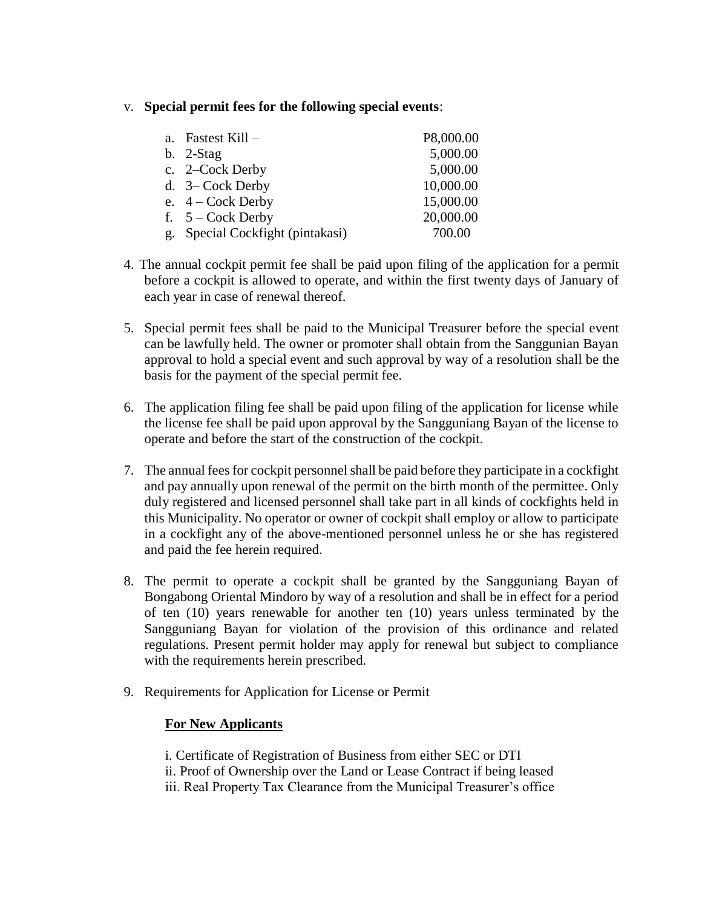## v. **Special permit fees for the following special events**:

|    | a. Fastest Kill $-$           | P8,000.00 |
|----|-------------------------------|-----------|
|    | $b.$ 2-Stag                   | 5,000.00  |
|    | c. 2–Cock Derby               | 5,000.00  |
|    | d. $3$ – Cock Derby           | 10,000.00 |
|    | e. $4 - \text{Cock Derby}$    | 15,000.00 |
|    | f. $5 - \text{Cock}$ Derby    | 20,000.00 |
| g. | Special Cockfight (pintakasi) | 700.00    |

- 4. The annual cockpit permit fee shall be paid upon filing of the application for a permit before a cockpit is allowed to operate, and within the first twenty days of January of each year in case of renewal thereof.
- 5. Special permit fees shall be paid to the Municipal Treasurer before the special event can be lawfully held. The owner or promoter shall obtain from the Sanggunian Bayan approval to hold a special event and such approval by way of a resolution shall be the basis for the payment of the special permit fee.
- 6. The application filing fee shall be paid upon filing of the application for license while the license fee shall be paid upon approval by the Sangguniang Bayan of the license to operate and before the start of the construction of the cockpit.
- 7. The annual fees for cockpit personnel shall be paid before they participate in a cockfight and pay annually upon renewal of the permit on the birth month of the permittee. Only duly registered and licensed personnel shall take part in all kinds of cockfights held in this Municipality. No operator or owner of cockpit shall employ or allow to participate in a cockfight any of the above-mentioned personnel unless he or she has registered and paid the fee herein required.
- 8. The permit to operate a cockpit shall be granted by the Sangguniang Bayan of Bongabong Oriental Mindoro by way of a resolution and shall be in effect for a period of ten (10) years renewable for another ten (10) years unless terminated by the Sangguniang Bayan for violation of the provision of this ordinance and related regulations. Present permit holder may apply for renewal but subject to compliance with the requirements herein prescribed.
- 9. Requirements for Application for License or Permit

# **For New Applicants**

i. Certificate of Registration of Business from either SEC or DTI ii. Proof of Ownership over the Land or Lease Contract if being leased iii. Real Property Tax Clearance from the Municipal Treasurer's office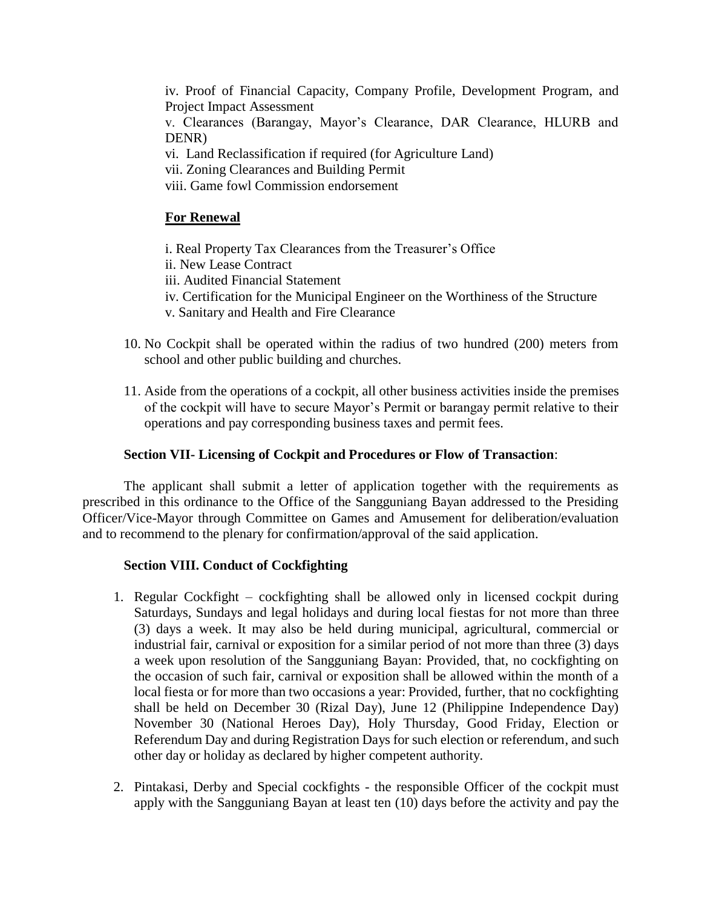iv. Proof of Financial Capacity, Company Profile, Development Program, and Project Impact Assessment

v. Clearances (Barangay, Mayor's Clearance, DAR Clearance, HLURB and DENR)

vi. Land Reclassification if required (for Agriculture Land)

vii. Zoning Clearances and Building Permit

viii. Game fowl Commission endorsement

# **For Renewal**

i. Real Property Tax Clearances from the Treasurer's Office

ii. New Lease Contract

iii. Audited Financial Statement

iv. Certification for the Municipal Engineer on the Worthiness of the Structure

v. Sanitary and Health and Fire Clearance

- 10. No Cockpit shall be operated within the radius of two hundred (200) meters from school and other public building and churches.
- 11. Aside from the operations of a cockpit, all other business activities inside the premises of the cockpit will have to secure Mayor's Permit or barangay permit relative to their operations and pay corresponding business taxes and permit fees.

## **Section VII- Licensing of Cockpit and Procedures or Flow of Transaction**:

The applicant shall submit a letter of application together with the requirements as prescribed in this ordinance to the Office of the Sangguniang Bayan addressed to the Presiding Officer/Vice-Mayor through Committee on Games and Amusement for deliberation/evaluation and to recommend to the plenary for confirmation/approval of the said application.

## **Section VIII. Conduct of Cockfighting**

- 1. Regular Cockfight cockfighting shall be allowed only in licensed cockpit during Saturdays, Sundays and legal holidays and during local fiestas for not more than three (3) days a week. It may also be held during municipal, agricultural, commercial or industrial fair, carnival or exposition for a similar period of not more than three (3) days a week upon resolution of the Sangguniang Bayan: Provided, that, no cockfighting on the occasion of such fair, carnival or exposition shall be allowed within the month of a local fiesta or for more than two occasions a year: Provided, further, that no cockfighting shall be held on December 30 (Rizal Day), June 12 (Philippine Independence Day) November 30 (National Heroes Day), Holy Thursday, Good Friday, Election or Referendum Day and during Registration Days for such election or referendum, and such other day or holiday as declared by higher competent authority.
- 2. Pintakasi, Derby and Special cockfights the responsible Officer of the cockpit must apply with the Sangguniang Bayan at least ten (10) days before the activity and pay the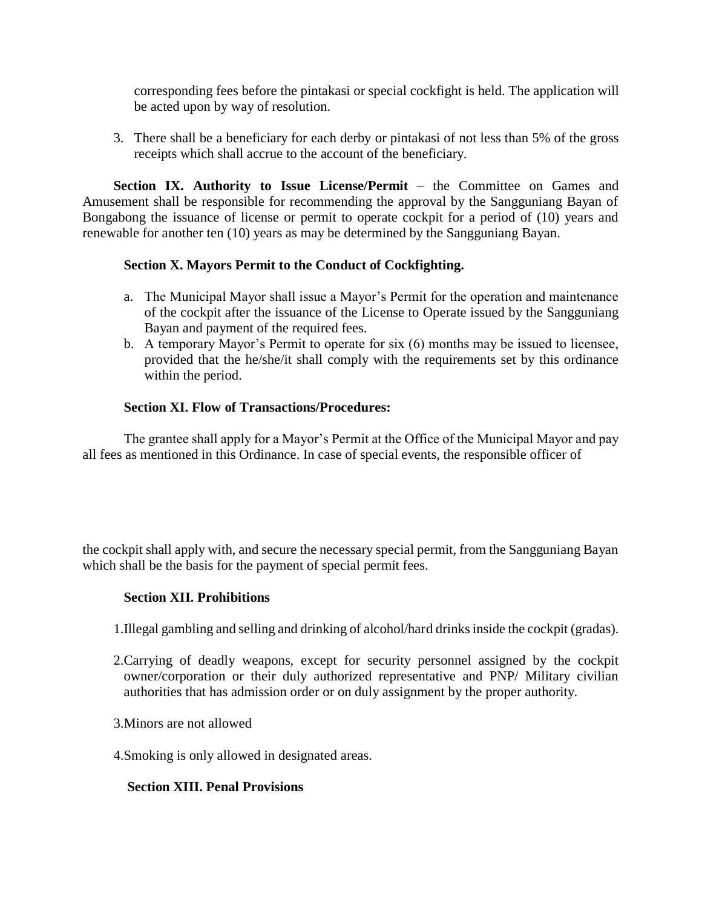corresponding fees before the pintakasi or special cockfight is held. The application will be acted upon by way of resolution.

3. There shall be a beneficiary for each derby or pintakasi of not less than 5% of the gross receipts which shall accrue to the account of the beneficiary.

**Section IX. Authority to Issue License/Permit – the Committee on Games and** Amusement shall be responsible for recommending the approval by the Sangguniang Bayan of Bongabong the issuance of license or permit to operate cockpit for a period of (10) years and renewable for another ten (10) years as may be determined by the Sangguniang Bayan.

## **Section X. Mayors Permit to the Conduct of Cockfighting.**

- a. The Municipal Mayor shall issue a Mayor's Permit for the operation and maintenance of the cockpit after the issuance of the License to Operate issued by the Sangguniang Bayan and payment of the required fees.
- b. A temporary Mayor's Permit to operate for six (6) months may be issued to licensee, provided that the he/she/it shall comply with the requirements set by this ordinance within the period.

## **Section XI. Flow of Transactions/Procedures:**

The grantee shall apply for a Mayor's Permit at the Office of the Municipal Mayor and pay all fees as mentioned in this Ordinance. In case of special events, the responsible officer of

the cockpit shall apply with, and secure the necessary special permit, from the Sangguniang Bayan which shall be the basis for the payment of special permit fees.

## **Section XII. Prohibitions**

- 1.Illegal gambling and selling and drinking of alcohol/hard drinks inside the cockpit (gradas).
- 2.Carrying of deadly weapons, except for security personnel assigned by the cockpit owner/corporation or their duly authorized representative and PNP/ Military civilian authorities that has admission order or on duly assignment by the proper authority.
- 3.Minors are not allowed
- 4.Smoking is only allowed in designated areas.

## **Section XIII. Penal Provisions**